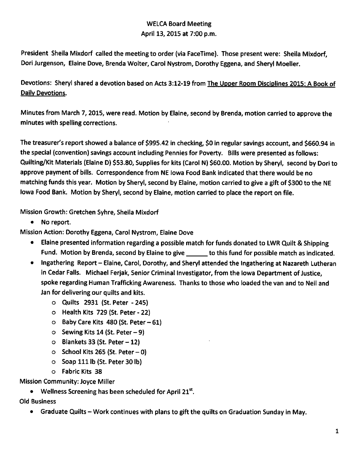# WELCA Board Meeting April 13, 2015 at 7:00 p.m.

President Sheila Mixdorf called the meeting to order (via FaceTime). Those present were: Sheila Mixdorf, Dori Jurgenson, Elaine Dove, Brenda Wolter, Carol Nystrom, Dorothy Eggena, and Sheryl Moeller.

Devotions: Sheryl shared a devotion based on Acts 3:12-19 from The Upper Room Disciplines 2015: A Book of Daily Devotions.

Minutes from March 7,2015, were read. Motion by Elaine, second by Brenda, motion carried to approve the minutes with spelling corrections.

The treasurer's report showed a balance of \$995.42 in checking, \$0 in regular savings account, and \$660.94 in the special (convention) savings account including Pennies for Poverty. Bills were presented as follows: Quilting/Kit Materials (Elaine D) \$53.80, Supplies for kits (Carol N) \$60.00. Motion by Sheryl, second by Dori to approve payment of bills. Correspondence from NE Iowa Food Bank indicated that there would be no matching funds this year. Motion by Sheryl, second by Elaine, motion carried to give a gift of \$300 to the NE Iowa Food Bank. Motion by Sheryl, second by Elaine, motion carried to place the report on file.

Mission Growth: Gretchen Syhre, Sheila Mixdorf

• No report.

Mission Action: Dorothy Eggena, Carol Nystrom, Elaine Dove

- Elaine presented information regarding a possible match for funds donated to LWR Quilt & Shipping Fund. Motion by Brenda, second by Elaine to give to this fund for possible match as indicated.
- Ingathering Report Elaine, Carol, Dorothy, and Sheryl attended the Ingathering at Nazareth Lutheran in Cedar Falls. Michael Ferjak, Senior Criminal Investigator, from the Iowa Department of Justice, spoke regarding Human Trafficking Awareness. Thanks to those who loaded the van and to Neil and Jan for delivering our quilts and kits.
	- o Quilts 2931 (St. Peter 245)
	- o Health Kits 729 (St. Peter 22)
	- $\circ$  Baby Care Kits 480 (St. Peter  $-61$ )
	- $\circ$  Sewing Kits 14 (St. Peter  $-9$ )
	- $\circ$  Blankets 33 (St. Peter  $-12$ )
	- $\circ$  School Kits 265 (St. Peter 0)
	- o Soap 111 lb (St. Peter 30 lb)
	- o Fabric Kits 38

Mission Community: Joyce Miller

• Wellness Screening has been scheduled for April  $21^{st}$ .

## Old Business

• Graduate Quilts – Work continues with plans to gift the quilts on Graduation Sunday in May.